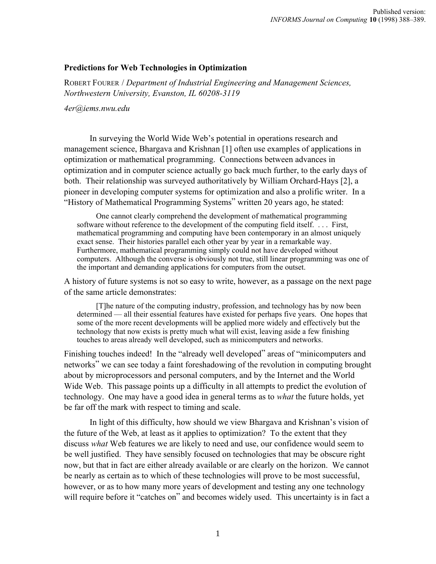# **Predictions for Web Technologies in Optimization**

ROBERT FOURER / *Department of Industrial Engineering and Management Sciences, Northwestern University, Evanston, IL 60208-3119*

## *4er@iems.nwu.edu*

In surveying the World Wide Web's potential in operations research and management science, Bhargava and Krishnan [1] often use examples of applications in optimization or mathematical programming. Connections between advances in optimization and in computer science actually go back much further, to the early days of both. Their relationship was surveyed authoritatively by William Orchard-Hays [2], a pioneer in developing computer systems for optimization and also a prolific writer. In a "History of Mathematical Programming Systems" written 20 years ago, he stated:

One cannot clearly comprehend the development of mathematical programming software without reference to the development of the computing field itself. . . . First, mathematical programming and computing have been contemporary in an almost uniquely exact sense. Their histories parallel each other year by year in a remarkable way. Furthermore, mathematical programming simply could not have developed without computers. Although the converse is obviously not true, still linear programming was one of the important and demanding applications for computers from the outset.

A history of future systems is not so easy to write, however, as a passage on the next page of the same article demonstrates:

[T]he nature of the computing industry, profession, and technology has by now been determined — all their essential features have existed for perhaps five years. One hopes that some of the more recent developments will be applied more widely and effectively but the technology that now exists is pretty much what will exist, leaving aside a few finishing touches to areas already well developed, such as minicomputers and networks.

Finishing touches indeed! In the "already well developed" areas of "minicomputers and networks" we can see today a faint foreshadowing of the revolution in computing brought about by microprocessors and personal computers, and by the Internet and the World Wide Web. This passage points up a difficulty in all attempts to predict the evolution of technology. One may have a good idea in general terms as to *what* the future holds, yet be far off the mark with respect to timing and scale.

In light of this difficulty, how should we view Bhargava and Krishnan's vision of the future of the Web, at least as it applies to optimization? To the extent that they discuss *what* Web features we are likely to need and use, our confidence would seem to be well justified. They have sensibly focused on technologies that may be obscure right now, but that in fact are either already available or are clearly on the horizon. We cannot be nearly as certain as to which of these technologies will prove to be most successful, however, or as to how many more years of development and testing any one technology will require before it "catches on" and becomes widely used. This uncertainty is in fact a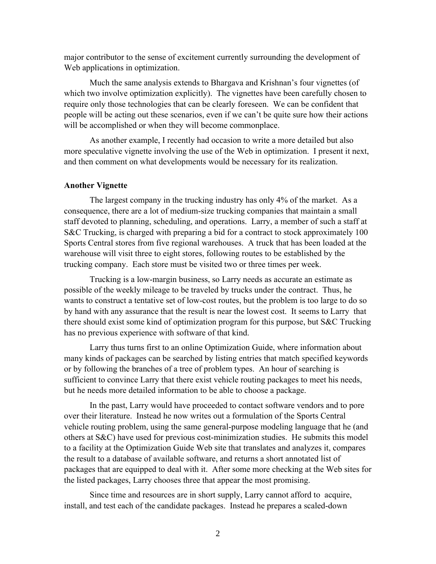major contributor to the sense of excitement currently surrounding the development of Web applications in optimization.

Much the same analysis extends to Bhargava and Krishnan's four vignettes (of which two involve optimization explicitly). The vignettes have been carefully chosen to require only those technologies that can be clearly foreseen. We can be confident that people will be acting out these scenarios, even if we can't be quite sure how their actions will be accomplished or when they will become commonplace.

As another example, I recently had occasion to write a more detailed but also more speculative vignette involving the use of the Web in optimization. I present it next, and then comment on what developments would be necessary for its realization.

#### **Another Vignette**

The largest company in the trucking industry has only 4% of the market. As a consequence, there are a lot of medium-size trucking companies that maintain a small staff devoted to planning, scheduling, and operations. Larry, a member of such a staff at S&C Trucking, is charged with preparing a bid for a contract to stock approximately 100 Sports Central stores from five regional warehouses. A truck that has been loaded at the warehouse will visit three to eight stores, following routes to be established by the trucking company. Each store must be visited two or three times per week.

Trucking is a low-margin business, so Larry needs as accurate an estimate as possible of the weekly mileage to be traveled by trucks under the contract. Thus, he wants to construct a tentative set of low-cost routes, but the problem is too large to do so by hand with any assurance that the result is near the lowest cost. It seems to Larry that there should exist some kind of optimization program for this purpose, but S&C Trucking has no previous experience with software of that kind.

Larry thus turns first to an online Optimization Guide, where information about many kinds of packages can be searched by listing entries that match specified keywords or by following the branches of a tree of problem types. An hour of searching is sufficient to convince Larry that there exist vehicle routing packages to meet his needs, but he needs more detailed information to be able to choose a package.

In the past, Larry would have proceeded to contact software vendors and to pore over their literature. Instead he now writes out a formulation of the Sports Central vehicle routing problem, using the same general-purpose modeling language that he (and others at S&C) have used for previous cost-minimization studies. He submits this model to a facility at the Optimization Guide Web site that translates and analyzes it, compares the result to a database of available software, and returns a short annotated list of packages that are equipped to deal with it. After some more checking at the Web sites for the listed packages, Larry chooses three that appear the most promising.

Since time and resources are in short supply, Larry cannot afford to acquire, install, and test each of the candidate packages. Instead he prepares a scaled-down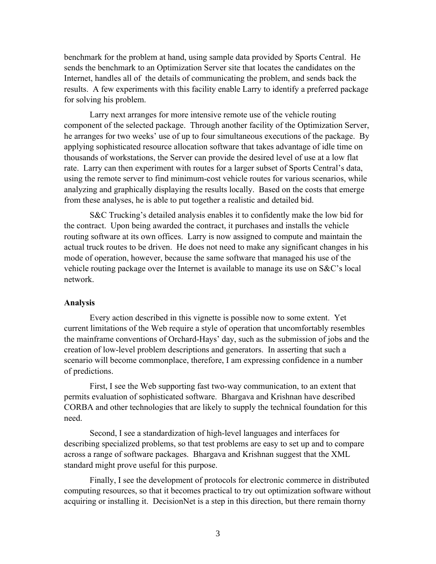benchmark for the problem at hand, using sample data provided by Sports Central. He sends the benchmark to an Optimization Server site that locates the candidates on the Internet, handles all of the details of communicating the problem, and sends back the results. A few experiments with this facility enable Larry to identify a preferred package for solving his problem.

Larry next arranges for more intensive remote use of the vehicle routing component of the selected package. Through another facility of the Optimization Server, he arranges for two weeks' use of up to four simultaneous executions of the package. By applying sophisticated resource allocation software that takes advantage of idle time on thousands of workstations, the Server can provide the desired level of use at a low flat rate. Larry can then experiment with routes for a larger subset of Sports Central's data, using the remote server to find minimum-cost vehicle routes for various scenarios, while analyzing and graphically displaying the results locally. Based on the costs that emerge from these analyses, he is able to put together a realistic and detailed bid.

S&C Trucking's detailed analysis enables it to confidently make the low bid for the contract. Upon being awarded the contract, it purchases and installs the vehicle routing software at its own offices. Larry is now assigned to compute and maintain the actual truck routes to be driven. He does not need to make any significant changes in his mode of operation, however, because the same software that managed his use of the vehicle routing package over the Internet is available to manage its use on S&C's local network.

## **Analysis**

Every action described in this vignette is possible now to some extent. Yet current limitations of the Web require a style of operation that uncomfortably resembles the mainframe conventions of Orchard-Hays' day, such as the submission of jobs and the creation of low-level problem descriptions and generators. In asserting that such a scenario will become commonplace, therefore, I am expressing confidence in a number of predictions.

First, I see the Web supporting fast two-way communication, to an extent that permits evaluation of sophisticated software. Bhargava and Krishnan have described CORBA and other technologies that are likely to supply the technical foundation for this need.

Second, I see a standardization of high-level languages and interfaces for describing specialized problems, so that test problems are easy to set up and to compare across a range of software packages. Bhargava and Krishnan suggest that the XML standard might prove useful for this purpose.

Finally, I see the development of protocols for electronic commerce in distributed computing resources, so that it becomes practical to try out optimization software without acquiring or installing it. DecisionNet is a step in this direction, but there remain thorny